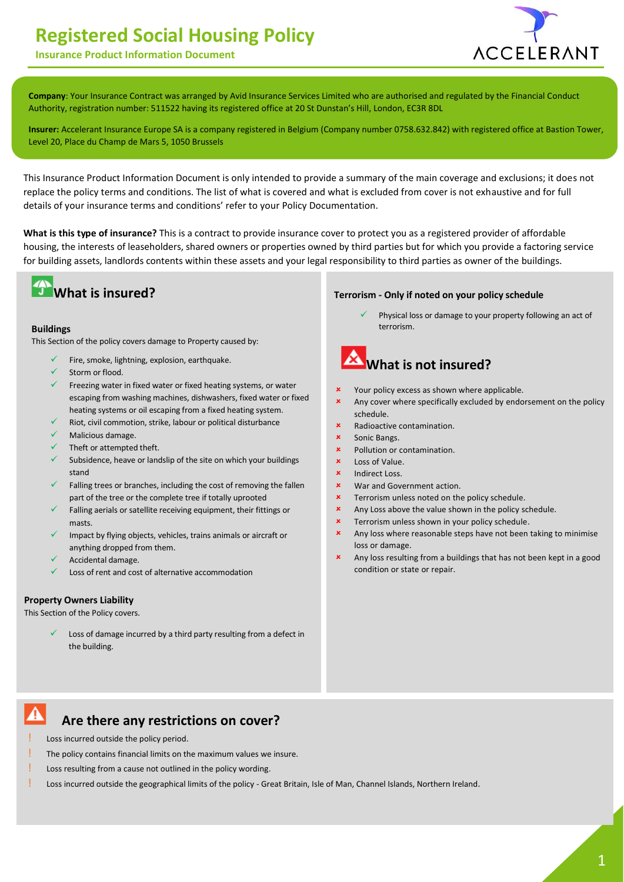# **Registered Social Housing Policy**





 **Company**: Your Insurance Contract was arranged by Avid Insurance Services Limited who are authorised and regulated by the Financial Conduct Authority, registration number: 511522 having its registered office at 20 St Dunstan's Hill, London, EC3R 8DL

**Insurer:** Accelerant Insurance Europe SA is a company registered in Belgium (Company number 0758.632.842) with registered office at Bastion Tower, Level 20, Place du Champ de Mars 5, 1050 Brussels

This Insurance Product Information Document is only intended to provide a summary of the main coverage and exclusions; it does not replace the policy terms and conditions. The list of what is covered and what is excluded from cover is not exhaustive and for full details of your insurance terms and conditions' refer to your Policy Documentation.

**What is this type of insurance?** This is a contract to provide insurance cover to protect you as a registered provider of affordable housing, the interests of leaseholders, shared owners or properties owned by third parties but for which you provide a factoring service for building assets, landlords contents within these assets and your legal responsibility to third parties as owner of the buildings.



### **Buildings**

This Section of the policy covers damage to Property caused by:

- Fire, smoke, lightning, explosion, earthquake.
- Storm or flood.
- Freezing water in fixed water or fixed heating systems, or water escaping from washing machines, dishwashers, fixed water or fixed heating systems or oil escaping from a fixed heating system.
- Riot, civil commotion, strike, labour or political disturbance
- Malicious damage.
- Theft or attempted theft.
- Subsidence, heave or landslip of the site on which your buildings stand
- Falling trees or branches, including the cost of removing the fallen part of the tree or the complete tree if totally uprooted
- $\checkmark$  Falling aerials or satellite receiving equipment, their fittings or masts.
- Impact by flying objects, vehicles, trains animals or aircraft or anything dropped from them.
- Accidental damage.
- Loss of rent and cost of alternative accommodation

### **Property Owners Liability**

This Section of the Policy covers.

 Loss of damage incurred by a third party resulting from a defect in the building.

#### **Terrorism - Only if noted on your policy schedule**

 Physical loss or damage to your property following an act of terrorism.



- Your policy excess as shown where applicable.
- Any cover where specifically excluded by endorsement on the policy schedule.
- Radioactive contamination.
- Sonic Bangs.
- Pollution or contamination.
- Loss of Value.
- Indirect Loss.
- War and Government action.
- Terrorism unless noted on the policy schedule.
- **x** Any Loss above the value shown in the policy schedule.
- Terrorism unless shown in your policy schedule.
- **x** Any loss where reasonable steps have not been taking to minimise loss or damage.
- Any loss resulting from a buildings that has not been kept in a good condition or state or repair.

#### Α **Are there any restrictions on cover?**

- Loss incurred outside the policy period.
- The policy contains financial limits on the maximum values we insure.
- Loss resulting from a cause not outlined in the policy wording.
- Loss incurred outside the geographical limits of the policy Great Britain, Isle of Man, Channel Islands, Northern Ireland.